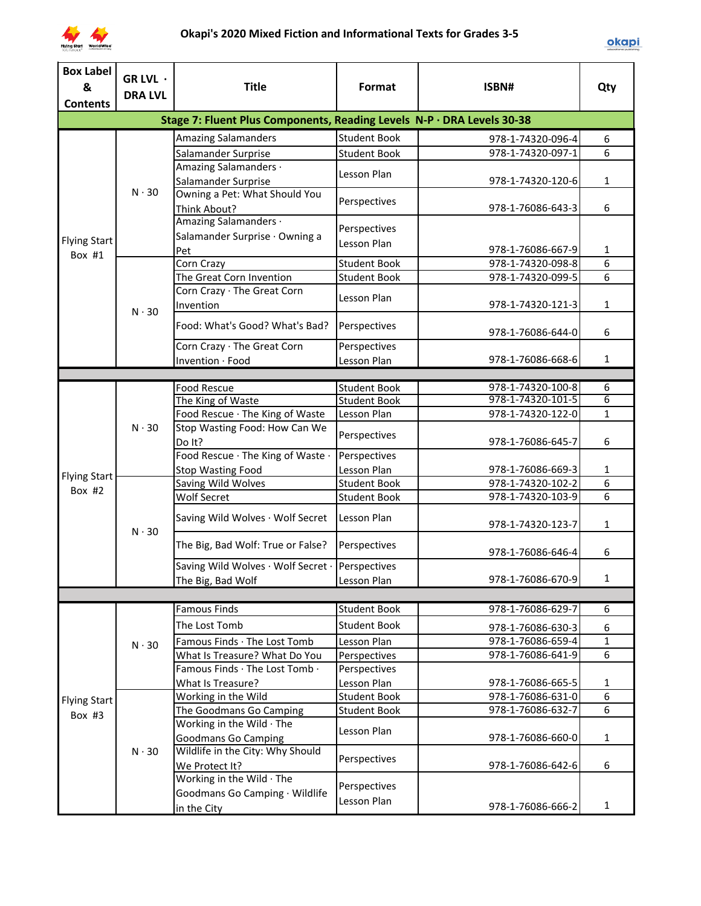

| <b>Box Label</b>              | GR LVL ·                     |                                                                        |                                    |                                        |                |
|-------------------------------|------------------------------|------------------------------------------------------------------------|------------------------------------|----------------------------------------|----------------|
| &                             | <b>DRA LVL</b>               | <b>Title</b>                                                           | Format                             | ISBN#                                  | Qty            |
| <b>Contents</b>               |                              |                                                                        |                                    |                                        |                |
|                               |                              | Stage 7: Fluent Plus Components, Reading Levels N-P · DRA Levels 30-38 |                                    |                                        |                |
|                               |                              | <b>Amazing Salamanders</b>                                             | <b>Student Book</b>                | 978-1-74320-096-4                      | 6              |
|                               |                              | Salamander Surprise                                                    | <b>Student Book</b>                | 978-1-74320-097-1                      | 6              |
|                               |                              | Amazing Salamanders ·                                                  | Lesson Plan                        |                                        |                |
|                               | $N \cdot 30$                 | Salamander Surprise                                                    |                                    | 978-1-74320-120-6                      | 1              |
|                               |                              | Owning a Pet: What Should You                                          | Perspectives                       |                                        |                |
|                               |                              | Think About?<br>Amazing Salamanders ·                                  |                                    | 978-1-76086-643-3                      | 6              |
|                               |                              |                                                                        | Perspectives                       |                                        |                |
| <b>Flying Start</b><br>Box #1 |                              | Salamander Surprise · Owning a<br>Pet                                  | Lesson Plan                        | 978-1-76086-667-9                      | 1              |
|                               |                              | Corn Crazy                                                             | <b>Student Book</b>                | 978-1-74320-098-8                      | 6              |
|                               |                              | The Great Corn Invention                                               | <b>Student Book</b>                | 978-1-74320-099-5                      | 6              |
|                               |                              | Corn Crazy · The Great Corn                                            |                                    |                                        |                |
|                               |                              | Invention                                                              | Lesson Plan                        | 978-1-74320-121-3                      | 1              |
|                               | $N \cdot 30$                 |                                                                        |                                    |                                        |                |
|                               |                              | Food: What's Good? What's Bad?                                         | Perspectives                       | 978-1-76086-644-0                      | 6              |
|                               |                              | Corn Crazy · The Great Corn                                            | Perspectives                       |                                        |                |
|                               |                              | Invention · Food                                                       | Lesson Plan                        | 978-1-76086-668-6                      | $\mathbf{1}$   |
|                               |                              |                                                                        |                                    |                                        |                |
|                               |                              | Food Rescue                                                            | <b>Student Book</b>                | 978-1-74320-100-8                      | 6              |
|                               | $N \cdot 30$<br>$N \cdot 30$ | The King of Waste                                                      | <b>Student Book</b>                | 978-1-74320-101-5                      | $\overline{6}$ |
|                               |                              | Food Rescue · The King of Waste                                        | Lesson Plan                        | 978-1-74320-122-0                      | 1              |
|                               |                              | Stop Wasting Food: How Can We                                          | Perspectives                       |                                        |                |
|                               |                              | Do It?                                                                 |                                    | 978-1-76086-645-7                      | 6              |
|                               |                              | Food Rescue · The King of Waste ·                                      | Perspectives                       |                                        |                |
| <b>Flying Start</b>           |                              | <b>Stop Wasting Food</b>                                               | Lesson Plan<br><b>Student Book</b> | 978-1-76086-669-3<br>978-1-74320-102-2 | 1<br>6         |
| Box $#2$                      |                              | Saving Wild Wolves<br><b>Wolf Secret</b>                               | <b>Student Book</b>                | 978-1-74320-103-9                      | 6              |
|                               |                              |                                                                        |                                    |                                        |                |
|                               |                              | Saving Wild Wolves · Wolf Secret                                       | Lesson Plan                        | 978-1-74320-123-7                      | $\mathbf{1}$   |
|                               |                              |                                                                        |                                    |                                        |                |
|                               |                              | The Big, Bad Wolf: True or False?                                      | Perspectives                       | 978-1-76086-646-4                      | 6              |
|                               |                              | Saving Wild Wolves · Wolf Secret ·                                     | Perspectives                       |                                        |                |
|                               |                              | The Big, Bad Wolf                                                      | Lesson Plan                        | 978-1-76086-670-9                      | 1              |
|                               |                              |                                                                        |                                    |                                        |                |
|                               |                              | <b>Famous Finds</b>                                                    | <b>Student Book</b>                | 978-1-76086-629-7                      | 6              |
|                               |                              | The Lost Tomb                                                          | <b>Student Book</b>                | 978-1-76086-630-3                      | 6              |
|                               | $N \cdot 30$                 | Famous Finds · The Lost Tomb                                           | Lesson Plan                        | 978-1-76086-659-4                      | $\mathbf{1}$   |
|                               |                              | What Is Treasure? What Do You                                          | Perspectives                       | 978-1-76086-641-9                      | 6              |
|                               |                              | Famous Finds · The Lost Tomb ·                                         | Perspectives                       |                                        |                |
|                               |                              | What Is Treasure?                                                      | Lesson Plan                        | 978-1-76086-665-5                      | $\mathbf{1}$   |
| <b>Flying Start</b>           |                              | Working in the Wild                                                    | <b>Student Book</b>                | 978-1-76086-631-0                      | 6              |
| Box #3                        |                              | The Goodmans Go Camping                                                | <b>Student Book</b>                | 978-1-76086-632-7                      | 6              |
|                               |                              | Working in the Wild The                                                | Lesson Plan                        |                                        |                |
|                               |                              | <b>Goodmans Go Camping</b>                                             |                                    | 978-1-76086-660-0                      | $\mathbf{1}$   |
|                               | $N \cdot 30$                 | Wildlife in the City: Why Should                                       | Perspectives                       |                                        |                |
|                               |                              | We Protect It?                                                         |                                    | 978-1-76086-642-6                      | 6              |
|                               |                              | Working in the Wild · The                                              | Perspectives                       |                                        |                |
|                               |                              | Goodmans Go Camping · Wildlife                                         | Lesson Plan                        |                                        |                |
|                               |                              | in the City                                                            |                                    | 978-1-76086-666-2                      | 1              |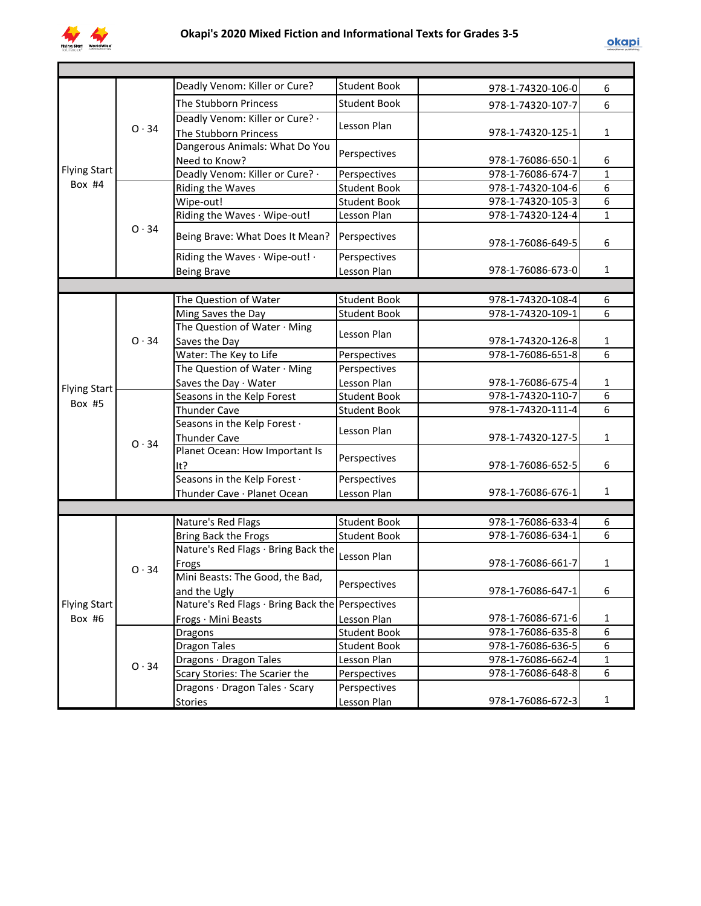

|                     |              | Deadly Venom: Killer or Cure?                    | <b>Student Book</b> | 978-1-74320-106-0 | 6              |
|---------------------|--------------|--------------------------------------------------|---------------------|-------------------|----------------|
|                     |              | The Stubborn Princess                            | <b>Student Book</b> | 978-1-74320-107-7 | 6              |
|                     |              | Deadly Venom: Killer or Cure? -                  | Lesson Plan         |                   |                |
|                     | $O \cdot 34$ | The Stubborn Princess                            |                     | 978-1-74320-125-1 | $\mathbf{1}$   |
| <b>Flying Start</b> |              | Dangerous Animals: What Do You                   | Perspectives        |                   |                |
|                     |              | Need to Know?                                    |                     | 978-1-76086-650-1 | 6              |
|                     |              | Deadly Venom: Killer or Cure? .                  | Perspectives        | 978-1-76086-674-7 | $\mathbf{1}$   |
| Box $#4$            |              | Riding the Waves                                 | <b>Student Book</b> | 978-1-74320-104-6 | $\overline{6}$ |
|                     |              | Wipe-out!                                        | <b>Student Book</b> | 978-1-74320-105-3 | $\overline{6}$ |
|                     |              | Riding the Waves · Wipe-out!                     | Lesson Plan         | 978-1-74320-124-4 | $\mathbf{1}$   |
|                     | 0.34         | Being Brave: What Does It Mean?                  | Perspectives        | 978-1-76086-649-5 | 6              |
|                     |              | Riding the Waves · Wipe-out! ·                   | Perspectives        |                   |                |
|                     |              | <b>Being Brave</b>                               | Lesson Plan         | 978-1-76086-673-0 | $\mathbf{1}$   |
|                     |              |                                                  |                     |                   |                |
|                     |              | The Question of Water                            | <b>Student Book</b> | 978-1-74320-108-4 | 6              |
|                     |              | Ming Saves the Day                               | Student Book        | 978-1-74320-109-1 | 6              |
|                     |              | The Question of Water · Ming                     |                     |                   |                |
|                     | 0.34         | Saves the Day                                    | Lesson Plan         | 978-1-74320-126-8 | 1              |
|                     |              | Water: The Key to Life                           | Perspectives        | 978-1-76086-651-8 | $\overline{6}$ |
|                     |              | The Question of Water · Ming                     | Perspectives        |                   |                |
| <b>Flying Start</b> |              | Saves the Day $\cdot$ Water                      | Lesson Plan         | 978-1-76086-675-4 | $\mathbf{1}$   |
| Box #5              |              | Seasons in the Kelp Forest                       | <b>Student Book</b> | 978-1-74320-110-7 | $\overline{6}$ |
|                     |              | <b>Thunder Cave</b>                              | <b>Student Book</b> | 978-1-74320-111-4 | 6              |
|                     |              | Seasons in the Kelp Forest .                     | Lesson Plan         |                   |                |
|                     | $O \cdot 34$ | <b>Thunder Cave</b>                              |                     | 978-1-74320-127-5 | $\mathbf{1}$   |
|                     |              | Planet Ocean: How Important Is                   | Perspectives        |                   |                |
|                     |              | It?                                              |                     | 978-1-76086-652-5 | 6              |
|                     |              | Seasons in the Kelp Forest .                     | Perspectives        |                   |                |
|                     |              | Thunder Cave · Planet Ocean                      | Lesson Plan         | 978-1-76086-676-1 | $\mathbf{1}$   |
|                     |              |                                                  |                     |                   |                |
|                     |              | Nature's Red Flags                               | <b>Student Book</b> | 978-1-76086-633-4 | 6              |
|                     |              | Bring Back the Frogs                             | <b>Student Book</b> | 978-1-76086-634-1 | $\overline{6}$ |
|                     |              | Nature's Red Flags · Bring Back the              | Lesson Plan         |                   |                |
|                     | $O \cdot 34$ | Frogs                                            |                     | 978-1-76086-661-7 | $\mathbf{1}$   |
|                     |              | Mini Beasts: The Good, the Bad,                  | Perspectives        |                   |                |
|                     |              | and the Ugly                                     |                     | 978-1-76086-647-1 | 6              |
| <b>Flying Start</b> |              | Nature's Red Flags · Bring Back the Perspectives |                     |                   |                |
| Box #6              |              | Frogs · Mini Beasts                              | Lesson Plan         | 978-1-76086-671-6 | 1              |
|                     |              | Dragons                                          | <b>Student Book</b> | 978-1-76086-635-8 | 6              |
|                     |              | <b>Dragon Tales</b>                              | <b>Student Book</b> | 978-1-76086-636-5 | 6              |
|                     | 0.34         | Dragons · Dragon Tales                           | Lesson Plan         | 978-1-76086-662-4 | $\mathbf{1}$   |
|                     |              | Scary Stories: The Scarier the                   | Perspectives        | 978-1-76086-648-8 | 6              |
|                     |              | Dragons · Dragon Tales · Scary                   | Perspectives        |                   |                |
|                     |              | <b>Stories</b>                                   | Lesson Plan         | 978-1-76086-672-3 | $\mathbf{1}$   |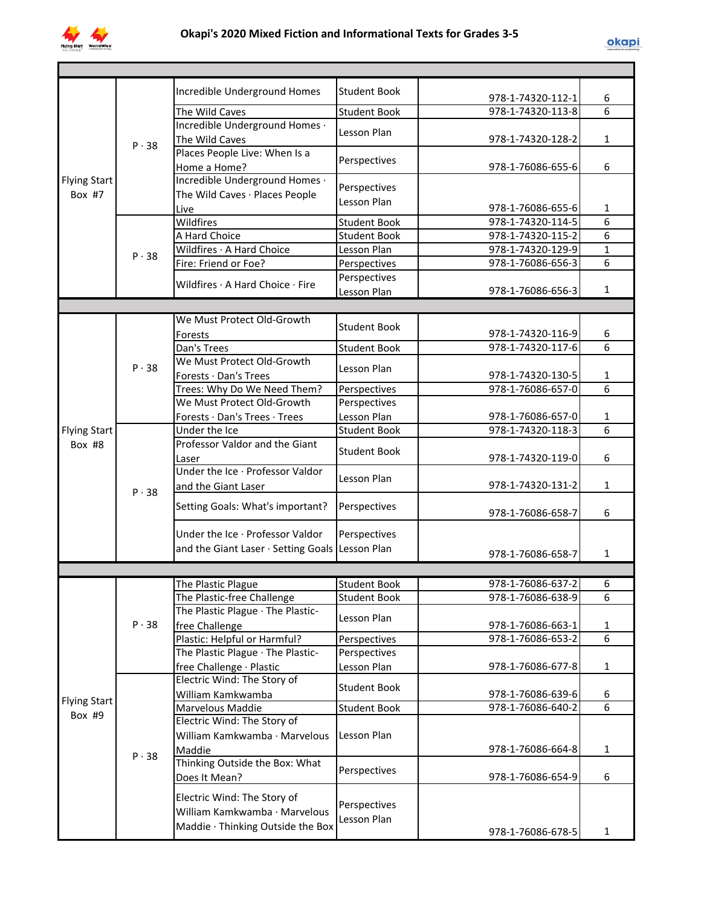

|                     |              | Incredible Underground Homes                    | <b>Student Book</b>          | 978-1-74320-112-1                      | 6              |
|---------------------|--------------|-------------------------------------------------|------------------------------|----------------------------------------|----------------|
|                     |              | The Wild Caves                                  | <b>Student Book</b>          | 978-1-74320-113-8                      | 6              |
|                     |              | Incredible Underground Homes .                  | Lesson Plan                  |                                        |                |
|                     | P.38         | The Wild Caves                                  |                              | 978-1-74320-128-2                      | 1              |
|                     |              | Places People Live: When Is a                   | Perspectives                 |                                        |                |
|                     |              | Home a Home?                                    |                              | 978-1-76086-655-6                      | 6              |
| <b>Flying Start</b> |              | Incredible Underground Homes .                  | Perspectives                 |                                        |                |
| Box #7              |              | The Wild Caves · Places People                  | Lesson Plan                  |                                        |                |
|                     |              | Live                                            |                              | 978-1-76086-655-6                      | 1              |
|                     |              | Wildfires                                       | <b>Student Book</b>          | 978-1-74320-114-5                      | 6<br>6         |
|                     |              | A Hard Choice                                   | <b>Student Book</b>          | 978-1-74320-115-2                      | $\mathbf{1}$   |
|                     | $P \cdot 38$ | Wildfires · A Hard Choice                       | Lesson Plan                  | 978-1-74320-129-9<br>978-1-76086-656-3 | 6              |
|                     |              | Fire: Friend or Foe?                            | Perspectives<br>Perspectives |                                        |                |
|                     |              | Wildfires · A Hard Choice · Fire                | Lesson Plan                  | 978-1-76086-656-3                      | 1              |
|                     |              |                                                 |                              |                                        |                |
|                     |              | We Must Protect Old-Growth                      |                              |                                        |                |
|                     |              | Forests                                         | <b>Student Book</b>          | 978-1-74320-116-9                      | 6              |
|                     |              | Dan's Trees                                     | <b>Student Book</b>          | 978-1-74320-117-6                      | 6              |
|                     |              | We Must Protect Old-Growth                      |                              |                                        |                |
|                     | P.38         | Forests · Dan's Trees                           | Lesson Plan                  | 978-1-74320-130-5                      | 1              |
|                     |              | Trees: Why Do We Need Them?                     | Perspectives                 | 978-1-76086-657-0                      | 6              |
|                     |              | We Must Protect Old-Growth                      | Perspectives                 |                                        |                |
|                     |              | Forests · Dan's Trees · Trees                   | Lesson Plan                  | 978-1-76086-657-0                      | 1              |
| <b>Flying Start</b> | P.38         | Under the Ice                                   | <b>Student Book</b>          | 978-1-74320-118-3                      | $\overline{6}$ |
| Box #8              |              | Professor Valdor and the Giant                  |                              |                                        |                |
|                     |              | Laser                                           | <b>Student Book</b>          | 978-1-74320-119-0                      | 6              |
|                     |              | Under the Ice · Professor Valdor                |                              |                                        |                |
|                     |              | and the Giant Laser                             | Lesson Plan                  | 978-1-74320-131-2                      | 1              |
|                     |              | Setting Goals: What's important?                | Perspectives                 | 978-1-76086-658-7                      | 6              |
|                     |              | Under the Ice · Professor Valdor                | Perspectives                 |                                        |                |
|                     |              | and the Giant Laser · Setting Goals Lesson Plan |                              |                                        |                |
|                     |              |                                                 |                              | 978-1-76086-658-7                      | 1              |
|                     |              |                                                 |                              |                                        |                |
|                     |              | The Plastic Plague                              | <b>Student Book</b>          | 978-1-76086-637-2                      | 6              |
|                     |              | The Plastic-free Challenge                      | <b>Student Book</b>          | 978-1-76086-638-9                      | 6              |
|                     |              | The Plastic Plague · The Plastic-               | Lesson Plan                  |                                        |                |
|                     | P.38         | free Challenge                                  |                              | 978-1-76086-663-1                      | 1              |
|                     |              | Plastic: Helpful or Harmful?                    | Perspectives                 | 978-1-76086-653-2                      | $\overline{6}$ |
|                     |              | The Plastic Plague · The Plastic-               | Perspectives                 |                                        |                |
|                     |              | free Challenge · Plastic                        | Lesson Plan                  | 978-1-76086-677-8                      | 1              |
|                     |              | Electric Wind: The Story of                     | <b>Student Book</b>          |                                        |                |
| <b>Flying Start</b> |              | William Kamkwamba<br><b>Marvelous Maddie</b>    | <b>Student Book</b>          | 978-1-76086-639-6<br>978-1-76086-640-2 | 6<br>6         |
| Box #9              |              | Electric Wind: The Story of                     |                              |                                        |                |
|                     |              | William Kamkwamba · Marvelous                   | Lesson Plan                  |                                        |                |
|                     |              | Maddie                                          |                              | 978-1-76086-664-8                      | 1              |
|                     | P.38         | Thinking Outside the Box: What                  |                              |                                        |                |
|                     |              | Does It Mean?                                   | Perspectives                 | 978-1-76086-654-9                      | 6              |
|                     |              |                                                 |                              |                                        |                |
|                     |              | Electric Wind: The Story of                     | Perspectives                 |                                        |                |
|                     |              | William Kamkwamba · Marvelous                   | Lesson Plan                  |                                        |                |
|                     |              | Maddie · Thinking Outside the Box               |                              | 978-1-76086-678-5                      | 1              |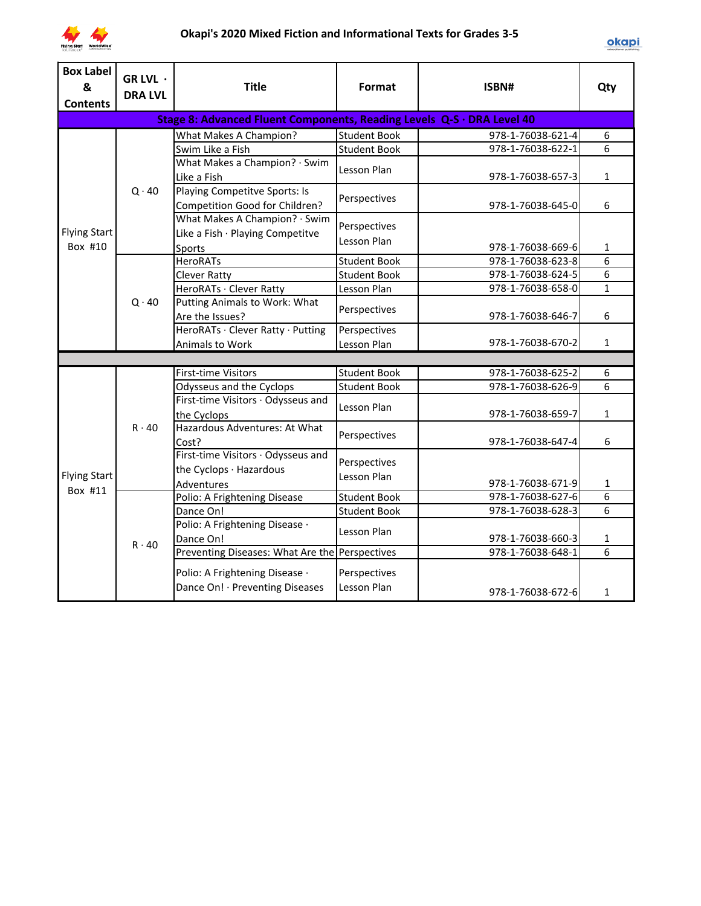

| <b>Box Label</b><br>&<br><b>Contents</b> | GR LVL ·<br><b>DRA LVL</b> | <b>Title</b>                                                           | Format              | ISBN#             | Qty            |
|------------------------------------------|----------------------------|------------------------------------------------------------------------|---------------------|-------------------|----------------|
|                                          |                            | Stage 8: Advanced Fluent Components, Reading Levels Q-S · DRA Level 40 |                     |                   |                |
|                                          |                            | <b>What Makes A Champion?</b>                                          | <b>Student Book</b> | 978-1-76038-621-4 | $\overline{6}$ |
|                                          |                            | Swim Like a Fish                                                       | <b>Student Book</b> | 978-1-76038-622-1 | 6              |
|                                          |                            | What Makes a Champion? · Swim                                          | Lesson Plan         |                   |                |
|                                          |                            | Like a Fish                                                            |                     | 978-1-76038-657-3 | $\mathbf{1}$   |
|                                          | $Q \cdot 40$               | Playing Competitve Sports: Is                                          |                     |                   |                |
|                                          |                            | Competition Good for Children?                                         | Perspectives        | 978-1-76038-645-0 | 6              |
|                                          |                            | What Makes A Champion? · Swim                                          |                     |                   |                |
| <b>Flying Start</b>                      |                            | Like a Fish · Playing Competitve                                       | Perspectives        |                   |                |
| Box #10                                  |                            | Sports                                                                 | Lesson Plan         | 978-1-76038-669-6 | 1              |
|                                          |                            | <b>HeroRATs</b>                                                        | <b>Student Book</b> | 978-1-76038-623-8 | 6              |
|                                          |                            | <b>Clever Ratty</b>                                                    | <b>Student Book</b> | 978-1-76038-624-5 | 6              |
|                                          | $Q \cdot 40$               | HeroRATs · Clever Ratty                                                | Lesson Plan         | 978-1-76038-658-0 | $\mathbf{1}$   |
|                                          |                            | Putting Animals to Work: What                                          |                     |                   |                |
|                                          |                            | Are the Issues?                                                        | Perspectives        | 978-1-76038-646-7 | 6              |
|                                          |                            | HeroRATs · Clever Ratty · Putting                                      | Perspectives        |                   |                |
|                                          |                            | Animals to Work                                                        | Lesson Plan         | 978-1-76038-670-2 | $\mathbf{1}$   |
|                                          |                            |                                                                        |                     |                   |                |
|                                          |                            | <b>First-time Visitors</b>                                             | <b>Student Book</b> | 978-1-76038-625-2 | 6              |
|                                          |                            | Odysseus and the Cyclops                                               | <b>Student Book</b> | 978-1-76038-626-9 | $\overline{6}$ |
|                                          |                            | First-time Visitors · Odysseus and                                     | Lesson Plan         |                   |                |
|                                          |                            | the Cyclops                                                            |                     | 978-1-76038-659-7 | $\mathbf{1}$   |
|                                          | $R \cdot 40$               | Hazardous Adventures: At What                                          | Perspectives        |                   |                |
|                                          |                            | Cost?                                                                  |                     | 978-1-76038-647-4 | 6              |
|                                          |                            | First-time Visitors · Odysseus and                                     | Perspectives        |                   |                |
| <b>Flying Start</b>                      |                            | the Cyclops · Hazardous                                                | Lesson Plan         |                   |                |
| Box #11                                  |                            | Adventures                                                             |                     | 978-1-76038-671-9 | $\mathbf{1}$   |
|                                          |                            | Polio: A Frightening Disease                                           | <b>Student Book</b> | 978-1-76038-627-6 | 6              |
|                                          |                            | Dance On!                                                              | <b>Student Book</b> | 978-1-76038-628-3 | 6              |
|                                          |                            | Polio: A Frightening Disease ·                                         | Lesson Plan         |                   |                |
|                                          | $R \cdot 40$               | Dance On!                                                              |                     | 978-1-76038-660-3 | $\mathbf{1}$   |
|                                          |                            | Preventing Diseases: What Are the Perspectives                         |                     | 978-1-76038-648-1 | 6              |
|                                          |                            | Polio: A Frightening Disease ·                                         | Perspectives        |                   |                |
|                                          |                            | Dance On! · Preventing Diseases                                        | Lesson Plan         |                   |                |
|                                          |                            |                                                                        |                     | 978-1-76038-672-6 | 1              |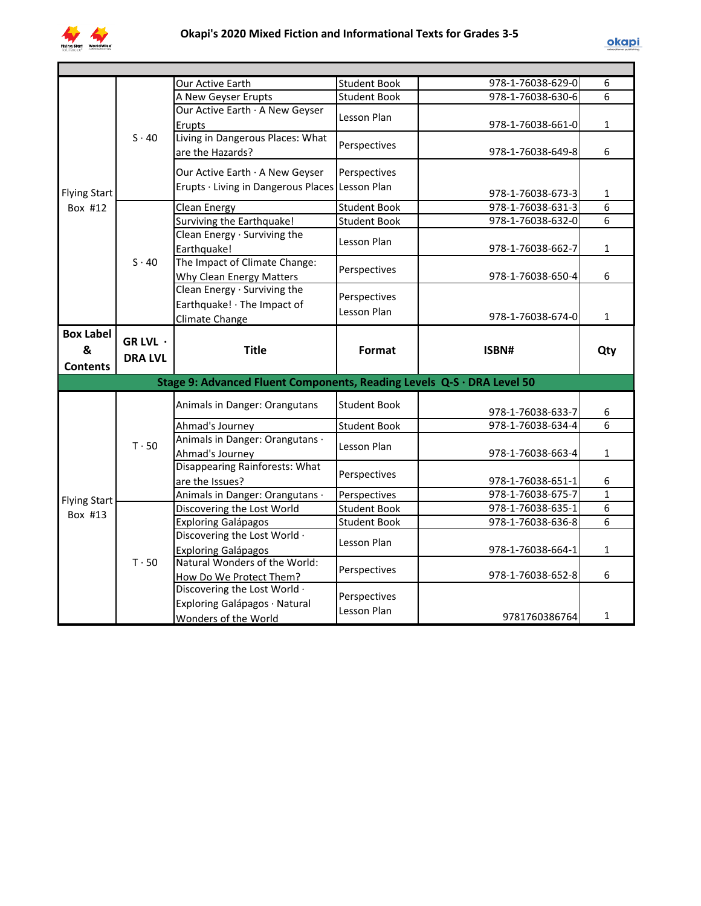

| 978-1-76038-629-0<br><b>Student Book</b><br>Our Active Earth<br>6<br>$\overline{6}$<br>978-1-76038-630-6<br><b>Student Book</b><br>A New Geyser Erupts<br>Our Active Earth · A New Geyser<br>Lesson Plan<br>978-1-76038-661-0<br>Erupts<br>1<br>Living in Dangerous Places: What<br>$S \cdot 40$<br>Perspectives<br>6<br>are the Hazards?<br>978-1-76038-649-8<br>Our Active Earth · A New Geyser<br>Perspectives<br>Erupts · Living in Dangerous Places Lesson Plan<br><b>Flying Start</b><br>978-1-76038-673-3<br>$\mathbf{1}$<br>6<br><b>Student Book</b><br>978-1-76038-631-3<br>Box #12<br><b>Clean Energy</b><br>Surviving the Earthquake!<br><b>Student Book</b><br>6<br>978-1-76038-632-0<br>Clean Energy · Surviving the<br>Lesson Plan<br>Earthquake!<br>978-1-76038-662-7<br>$\mathbf{1}$<br>The Impact of Climate Change:<br>$S \cdot 40$<br>Perspectives<br>978-1-76038-650-4<br>6<br>Why Clean Energy Matters<br>Clean Energy · Surviving the<br>Perspectives<br>Earthquake! · The Impact of<br>Lesson Plan<br>978-1-76038-674-0<br>$\mathbf{1}$<br>Climate Change<br><b>Box Label</b><br>GR LVL $\cdot$<br><b>Title</b><br>&<br>Format<br>ISBN#<br>Qty<br><b>DRA LVL</b><br><b>Contents</b><br>Stage 9: Advanced Fluent Components, Reading Levels Q-S · DRA Level 50<br>Animals in Danger: Orangutans<br><b>Student Book</b><br>978-1-76038-633-7<br>6<br>6<br>Ahmad's Journey<br><b>Student Book</b><br>978-1-76038-634-4<br>Animals in Danger: Orangutans ·<br>$T \cdot 50$<br>Lesson Plan<br>978-1-76038-663-4<br>$\mathbf{1}$<br>Ahmad's Journey<br>Disappearing Rainforests: What<br>Perspectives<br>978-1-76038-651-1<br>6<br>are the Issues?<br>Animals in Danger: Orangutans ·<br>978-1-76038-675-7<br>$\mathbf{1}$<br>Perspectives<br><b>Flying Start</b><br>6<br>978-1-76038-635-1<br>Discovering the Lost World<br><b>Student Book</b><br>Box #13<br>6<br>978-1-76038-636-8<br><b>Exploring Galápagos</b><br><b>Student Book</b><br>Discovering the Lost World .<br>Lesson Plan<br>978-1-76038-664-1<br><b>Exploring Galápagos</b><br>$\mathbf{1}$<br>Natural Wonders of the World:<br>$T \cdot 50$<br>Perspectives<br>6<br>978-1-76038-652-8<br>How Do We Protect Them?<br>Discovering the Lost World .<br>Perspectives<br>Exploring Galápagos · Natural<br>Lesson Plan<br>$\mathbf{1}$<br>9781760386764<br>Wonders of the World |  |  |  |  |
|--------------------------------------------------------------------------------------------------------------------------------------------------------------------------------------------------------------------------------------------------------------------------------------------------------------------------------------------------------------------------------------------------------------------------------------------------------------------------------------------------------------------------------------------------------------------------------------------------------------------------------------------------------------------------------------------------------------------------------------------------------------------------------------------------------------------------------------------------------------------------------------------------------------------------------------------------------------------------------------------------------------------------------------------------------------------------------------------------------------------------------------------------------------------------------------------------------------------------------------------------------------------------------------------------------------------------------------------------------------------------------------------------------------------------------------------------------------------------------------------------------------------------------------------------------------------------------------------------------------------------------------------------------------------------------------------------------------------------------------------------------------------------------------------------------------------------------------------------------------------------------------------------------------------------------------------------------------------------------------------------------------------------------------------------------------------------------------------------------------------------------------------------------------------------------------------------------------------------------------------------------------------------------------------------------------------------------------------------------------|--|--|--|--|
|                                                                                                                                                                                                                                                                                                                                                                                                                                                                                                                                                                                                                                                                                                                                                                                                                                                                                                                                                                                                                                                                                                                                                                                                                                                                                                                                                                                                                                                                                                                                                                                                                                                                                                                                                                                                                                                                                                                                                                                                                                                                                                                                                                                                                                                                                                                                                              |  |  |  |  |
|                                                                                                                                                                                                                                                                                                                                                                                                                                                                                                                                                                                                                                                                                                                                                                                                                                                                                                                                                                                                                                                                                                                                                                                                                                                                                                                                                                                                                                                                                                                                                                                                                                                                                                                                                                                                                                                                                                                                                                                                                                                                                                                                                                                                                                                                                                                                                              |  |  |  |  |
|                                                                                                                                                                                                                                                                                                                                                                                                                                                                                                                                                                                                                                                                                                                                                                                                                                                                                                                                                                                                                                                                                                                                                                                                                                                                                                                                                                                                                                                                                                                                                                                                                                                                                                                                                                                                                                                                                                                                                                                                                                                                                                                                                                                                                                                                                                                                                              |  |  |  |  |
|                                                                                                                                                                                                                                                                                                                                                                                                                                                                                                                                                                                                                                                                                                                                                                                                                                                                                                                                                                                                                                                                                                                                                                                                                                                                                                                                                                                                                                                                                                                                                                                                                                                                                                                                                                                                                                                                                                                                                                                                                                                                                                                                                                                                                                                                                                                                                              |  |  |  |  |
|                                                                                                                                                                                                                                                                                                                                                                                                                                                                                                                                                                                                                                                                                                                                                                                                                                                                                                                                                                                                                                                                                                                                                                                                                                                                                                                                                                                                                                                                                                                                                                                                                                                                                                                                                                                                                                                                                                                                                                                                                                                                                                                                                                                                                                                                                                                                                              |  |  |  |  |
|                                                                                                                                                                                                                                                                                                                                                                                                                                                                                                                                                                                                                                                                                                                                                                                                                                                                                                                                                                                                                                                                                                                                                                                                                                                                                                                                                                                                                                                                                                                                                                                                                                                                                                                                                                                                                                                                                                                                                                                                                                                                                                                                                                                                                                                                                                                                                              |  |  |  |  |
|                                                                                                                                                                                                                                                                                                                                                                                                                                                                                                                                                                                                                                                                                                                                                                                                                                                                                                                                                                                                                                                                                                                                                                                                                                                                                                                                                                                                                                                                                                                                                                                                                                                                                                                                                                                                                                                                                                                                                                                                                                                                                                                                                                                                                                                                                                                                                              |  |  |  |  |
|                                                                                                                                                                                                                                                                                                                                                                                                                                                                                                                                                                                                                                                                                                                                                                                                                                                                                                                                                                                                                                                                                                                                                                                                                                                                                                                                                                                                                                                                                                                                                                                                                                                                                                                                                                                                                                                                                                                                                                                                                                                                                                                                                                                                                                                                                                                                                              |  |  |  |  |
|                                                                                                                                                                                                                                                                                                                                                                                                                                                                                                                                                                                                                                                                                                                                                                                                                                                                                                                                                                                                                                                                                                                                                                                                                                                                                                                                                                                                                                                                                                                                                                                                                                                                                                                                                                                                                                                                                                                                                                                                                                                                                                                                                                                                                                                                                                                                                              |  |  |  |  |
|                                                                                                                                                                                                                                                                                                                                                                                                                                                                                                                                                                                                                                                                                                                                                                                                                                                                                                                                                                                                                                                                                                                                                                                                                                                                                                                                                                                                                                                                                                                                                                                                                                                                                                                                                                                                                                                                                                                                                                                                                                                                                                                                                                                                                                                                                                                                                              |  |  |  |  |
|                                                                                                                                                                                                                                                                                                                                                                                                                                                                                                                                                                                                                                                                                                                                                                                                                                                                                                                                                                                                                                                                                                                                                                                                                                                                                                                                                                                                                                                                                                                                                                                                                                                                                                                                                                                                                                                                                                                                                                                                                                                                                                                                                                                                                                                                                                                                                              |  |  |  |  |
|                                                                                                                                                                                                                                                                                                                                                                                                                                                                                                                                                                                                                                                                                                                                                                                                                                                                                                                                                                                                                                                                                                                                                                                                                                                                                                                                                                                                                                                                                                                                                                                                                                                                                                                                                                                                                                                                                                                                                                                                                                                                                                                                                                                                                                                                                                                                                              |  |  |  |  |
|                                                                                                                                                                                                                                                                                                                                                                                                                                                                                                                                                                                                                                                                                                                                                                                                                                                                                                                                                                                                                                                                                                                                                                                                                                                                                                                                                                                                                                                                                                                                                                                                                                                                                                                                                                                                                                                                                                                                                                                                                                                                                                                                                                                                                                                                                                                                                              |  |  |  |  |
|                                                                                                                                                                                                                                                                                                                                                                                                                                                                                                                                                                                                                                                                                                                                                                                                                                                                                                                                                                                                                                                                                                                                                                                                                                                                                                                                                                                                                                                                                                                                                                                                                                                                                                                                                                                                                                                                                                                                                                                                                                                                                                                                                                                                                                                                                                                                                              |  |  |  |  |
|                                                                                                                                                                                                                                                                                                                                                                                                                                                                                                                                                                                                                                                                                                                                                                                                                                                                                                                                                                                                                                                                                                                                                                                                                                                                                                                                                                                                                                                                                                                                                                                                                                                                                                                                                                                                                                                                                                                                                                                                                                                                                                                                                                                                                                                                                                                                                              |  |  |  |  |
|                                                                                                                                                                                                                                                                                                                                                                                                                                                                                                                                                                                                                                                                                                                                                                                                                                                                                                                                                                                                                                                                                                                                                                                                                                                                                                                                                                                                                                                                                                                                                                                                                                                                                                                                                                                                                                                                                                                                                                                                                                                                                                                                                                                                                                                                                                                                                              |  |  |  |  |
|                                                                                                                                                                                                                                                                                                                                                                                                                                                                                                                                                                                                                                                                                                                                                                                                                                                                                                                                                                                                                                                                                                                                                                                                                                                                                                                                                                                                                                                                                                                                                                                                                                                                                                                                                                                                                                                                                                                                                                                                                                                                                                                                                                                                                                                                                                                                                              |  |  |  |  |
|                                                                                                                                                                                                                                                                                                                                                                                                                                                                                                                                                                                                                                                                                                                                                                                                                                                                                                                                                                                                                                                                                                                                                                                                                                                                                                                                                                                                                                                                                                                                                                                                                                                                                                                                                                                                                                                                                                                                                                                                                                                                                                                                                                                                                                                                                                                                                              |  |  |  |  |
|                                                                                                                                                                                                                                                                                                                                                                                                                                                                                                                                                                                                                                                                                                                                                                                                                                                                                                                                                                                                                                                                                                                                                                                                                                                                                                                                                                                                                                                                                                                                                                                                                                                                                                                                                                                                                                                                                                                                                                                                                                                                                                                                                                                                                                                                                                                                                              |  |  |  |  |
|                                                                                                                                                                                                                                                                                                                                                                                                                                                                                                                                                                                                                                                                                                                                                                                                                                                                                                                                                                                                                                                                                                                                                                                                                                                                                                                                                                                                                                                                                                                                                                                                                                                                                                                                                                                                                                                                                                                                                                                                                                                                                                                                                                                                                                                                                                                                                              |  |  |  |  |
|                                                                                                                                                                                                                                                                                                                                                                                                                                                                                                                                                                                                                                                                                                                                                                                                                                                                                                                                                                                                                                                                                                                                                                                                                                                                                                                                                                                                                                                                                                                                                                                                                                                                                                                                                                                                                                                                                                                                                                                                                                                                                                                                                                                                                                                                                                                                                              |  |  |  |  |
|                                                                                                                                                                                                                                                                                                                                                                                                                                                                                                                                                                                                                                                                                                                                                                                                                                                                                                                                                                                                                                                                                                                                                                                                                                                                                                                                                                                                                                                                                                                                                                                                                                                                                                                                                                                                                                                                                                                                                                                                                                                                                                                                                                                                                                                                                                                                                              |  |  |  |  |
|                                                                                                                                                                                                                                                                                                                                                                                                                                                                                                                                                                                                                                                                                                                                                                                                                                                                                                                                                                                                                                                                                                                                                                                                                                                                                                                                                                                                                                                                                                                                                                                                                                                                                                                                                                                                                                                                                                                                                                                                                                                                                                                                                                                                                                                                                                                                                              |  |  |  |  |
|                                                                                                                                                                                                                                                                                                                                                                                                                                                                                                                                                                                                                                                                                                                                                                                                                                                                                                                                                                                                                                                                                                                                                                                                                                                                                                                                                                                                                                                                                                                                                                                                                                                                                                                                                                                                                                                                                                                                                                                                                                                                                                                                                                                                                                                                                                                                                              |  |  |  |  |
|                                                                                                                                                                                                                                                                                                                                                                                                                                                                                                                                                                                                                                                                                                                                                                                                                                                                                                                                                                                                                                                                                                                                                                                                                                                                                                                                                                                                                                                                                                                                                                                                                                                                                                                                                                                                                                                                                                                                                                                                                                                                                                                                                                                                                                                                                                                                                              |  |  |  |  |
|                                                                                                                                                                                                                                                                                                                                                                                                                                                                                                                                                                                                                                                                                                                                                                                                                                                                                                                                                                                                                                                                                                                                                                                                                                                                                                                                                                                                                                                                                                                                                                                                                                                                                                                                                                                                                                                                                                                                                                                                                                                                                                                                                                                                                                                                                                                                                              |  |  |  |  |
|                                                                                                                                                                                                                                                                                                                                                                                                                                                                                                                                                                                                                                                                                                                                                                                                                                                                                                                                                                                                                                                                                                                                                                                                                                                                                                                                                                                                                                                                                                                                                                                                                                                                                                                                                                                                                                                                                                                                                                                                                                                                                                                                                                                                                                                                                                                                                              |  |  |  |  |
|                                                                                                                                                                                                                                                                                                                                                                                                                                                                                                                                                                                                                                                                                                                                                                                                                                                                                                                                                                                                                                                                                                                                                                                                                                                                                                                                                                                                                                                                                                                                                                                                                                                                                                                                                                                                                                                                                                                                                                                                                                                                                                                                                                                                                                                                                                                                                              |  |  |  |  |
|                                                                                                                                                                                                                                                                                                                                                                                                                                                                                                                                                                                                                                                                                                                                                                                                                                                                                                                                                                                                                                                                                                                                                                                                                                                                                                                                                                                                                                                                                                                                                                                                                                                                                                                                                                                                                                                                                                                                                                                                                                                                                                                                                                                                                                                                                                                                                              |  |  |  |  |
|                                                                                                                                                                                                                                                                                                                                                                                                                                                                                                                                                                                                                                                                                                                                                                                                                                                                                                                                                                                                                                                                                                                                                                                                                                                                                                                                                                                                                                                                                                                                                                                                                                                                                                                                                                                                                                                                                                                                                                                                                                                                                                                                                                                                                                                                                                                                                              |  |  |  |  |
|                                                                                                                                                                                                                                                                                                                                                                                                                                                                                                                                                                                                                                                                                                                                                                                                                                                                                                                                                                                                                                                                                                                                                                                                                                                                                                                                                                                                                                                                                                                                                                                                                                                                                                                                                                                                                                                                                                                                                                                                                                                                                                                                                                                                                                                                                                                                                              |  |  |  |  |
|                                                                                                                                                                                                                                                                                                                                                                                                                                                                                                                                                                                                                                                                                                                                                                                                                                                                                                                                                                                                                                                                                                                                                                                                                                                                                                                                                                                                                                                                                                                                                                                                                                                                                                                                                                                                                                                                                                                                                                                                                                                                                                                                                                                                                                                                                                                                                              |  |  |  |  |
|                                                                                                                                                                                                                                                                                                                                                                                                                                                                                                                                                                                                                                                                                                                                                                                                                                                                                                                                                                                                                                                                                                                                                                                                                                                                                                                                                                                                                                                                                                                                                                                                                                                                                                                                                                                                                                                                                                                                                                                                                                                                                                                                                                                                                                                                                                                                                              |  |  |  |  |
|                                                                                                                                                                                                                                                                                                                                                                                                                                                                                                                                                                                                                                                                                                                                                                                                                                                                                                                                                                                                                                                                                                                                                                                                                                                                                                                                                                                                                                                                                                                                                                                                                                                                                                                                                                                                                                                                                                                                                                                                                                                                                                                                                                                                                                                                                                                                                              |  |  |  |  |
|                                                                                                                                                                                                                                                                                                                                                                                                                                                                                                                                                                                                                                                                                                                                                                                                                                                                                                                                                                                                                                                                                                                                                                                                                                                                                                                                                                                                                                                                                                                                                                                                                                                                                                                                                                                                                                                                                                                                                                                                                                                                                                                                                                                                                                                                                                                                                              |  |  |  |  |
|                                                                                                                                                                                                                                                                                                                                                                                                                                                                                                                                                                                                                                                                                                                                                                                                                                                                                                                                                                                                                                                                                                                                                                                                                                                                                                                                                                                                                                                                                                                                                                                                                                                                                                                                                                                                                                                                                                                                                                                                                                                                                                                                                                                                                                                                                                                                                              |  |  |  |  |
|                                                                                                                                                                                                                                                                                                                                                                                                                                                                                                                                                                                                                                                                                                                                                                                                                                                                                                                                                                                                                                                                                                                                                                                                                                                                                                                                                                                                                                                                                                                                                                                                                                                                                                                                                                                                                                                                                                                                                                                                                                                                                                                                                                                                                                                                                                                                                              |  |  |  |  |
|                                                                                                                                                                                                                                                                                                                                                                                                                                                                                                                                                                                                                                                                                                                                                                                                                                                                                                                                                                                                                                                                                                                                                                                                                                                                                                                                                                                                                                                                                                                                                                                                                                                                                                                                                                                                                                                                                                                                                                                                                                                                                                                                                                                                                                                                                                                                                              |  |  |  |  |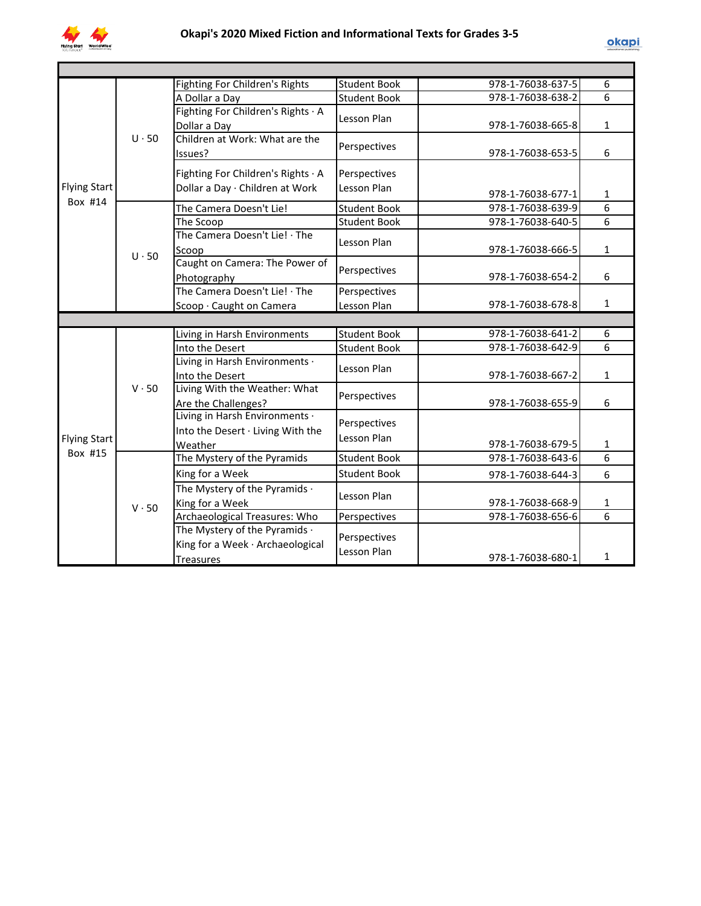

|                                |              | Fighting For Children's Rights      | <b>Student Book</b> | 978-1-76038-637-5 | 6              |  |
|--------------------------------|--------------|-------------------------------------|---------------------|-------------------|----------------|--|
|                                |              | A Dollar a Day                      | <b>Student Book</b> | 978-1-76038-638-2 | $\overline{6}$ |  |
|                                |              | Fighting For Children's Rights · A  | Lesson Plan         |                   |                |  |
|                                |              | Dollar a Day                        |                     | 978-1-76038-665-8 | $\mathbf{1}$   |  |
|                                | $U \cdot 50$ | Children at Work: What are the      | Perspectives        |                   |                |  |
|                                |              | Issues?                             |                     | 978-1-76038-653-5 | 6              |  |
| <b>Flying Start</b><br>Box #14 |              | Fighting For Children's Rights · A  | Perspectives        |                   |                |  |
|                                |              | Dollar a Day · Children at Work     | Lesson Plan         |                   |                |  |
|                                |              |                                     |                     | 978-1-76038-677-1 | $\mathbf{1}$   |  |
|                                |              | The Camera Doesn't Lie!             | Student Book        | 978-1-76038-639-9 | $\overline{6}$ |  |
|                                |              | The Scoop                           | <b>Student Book</b> | 978-1-76038-640-5 | $\overline{6}$ |  |
|                                |              | The Camera Doesn't Lie! · The       | Lesson Plan         |                   |                |  |
|                                | $U \cdot 50$ | Scoop                               |                     | 978-1-76038-666-5 | $\mathbf{1}$   |  |
|                                |              | Caught on Camera: The Power of      | Perspectives        |                   |                |  |
|                                |              | Photography                         |                     | 978-1-76038-654-2 | 6              |  |
|                                |              | The Camera Doesn't Lie! · The       | Perspectives        |                   |                |  |
|                                |              | Scoop · Caught on Camera            | Lesson Plan         | 978-1-76038-678-8 | $\mathbf{1}$   |  |
|                                |              |                                     |                     |                   |                |  |
|                                |              | Living in Harsh Environments        | <b>Student Book</b> | 978-1-76038-641-2 | 6              |  |
|                                |              | Into the Desert                     | <b>Student Book</b> | 978-1-76038-642-9 | $\overline{6}$ |  |
|                                |              | Living in Harsh Environments ·      | Lesson Plan         |                   |                |  |
|                                |              | Into the Desert                     |                     | 978-1-76038-667-2 | $\mathbf{1}$   |  |
|                                | $V \cdot 50$ | Living With the Weather: What       | Perspectives        |                   |                |  |
|                                |              | Are the Challenges?                 |                     | 978-1-76038-655-9 | 6              |  |
|                                |              | Living in Harsh Environments ·      | Perspectives        |                   |                |  |
| <b>Flying Start</b>            |              | Into the Desert · Living With the   | Lesson Plan         |                   |                |  |
| Box #15                        |              | Weather                             |                     | 978-1-76038-679-5 | $\mathbf{1}$   |  |
|                                |              | The Mystery of the Pyramids         | <b>Student Book</b> | 978-1-76038-643-6 | $\overline{6}$ |  |
|                                |              | King for a Week                     | <b>Student Book</b> | 978-1-76038-644-3 | 6              |  |
|                                |              | The Mystery of the Pyramids ·       | Lesson Plan         |                   |                |  |
|                                | $V \cdot 50$ | King for a Week                     |                     | 978-1-76038-668-9 | $\mathbf{1}$   |  |
|                                |              | Archaeological Treasures: Who       | Perspectives        | 978-1-76038-656-6 | 6              |  |
|                                |              | The Mystery of the Pyramids $\cdot$ | Perspectives        |                   |                |  |
|                                |              | King for a Week · Archaeological    | Lesson Plan         |                   |                |  |
|                                |              | <b>Treasures</b>                    |                     | 978-1-76038-680-1 | 1              |  |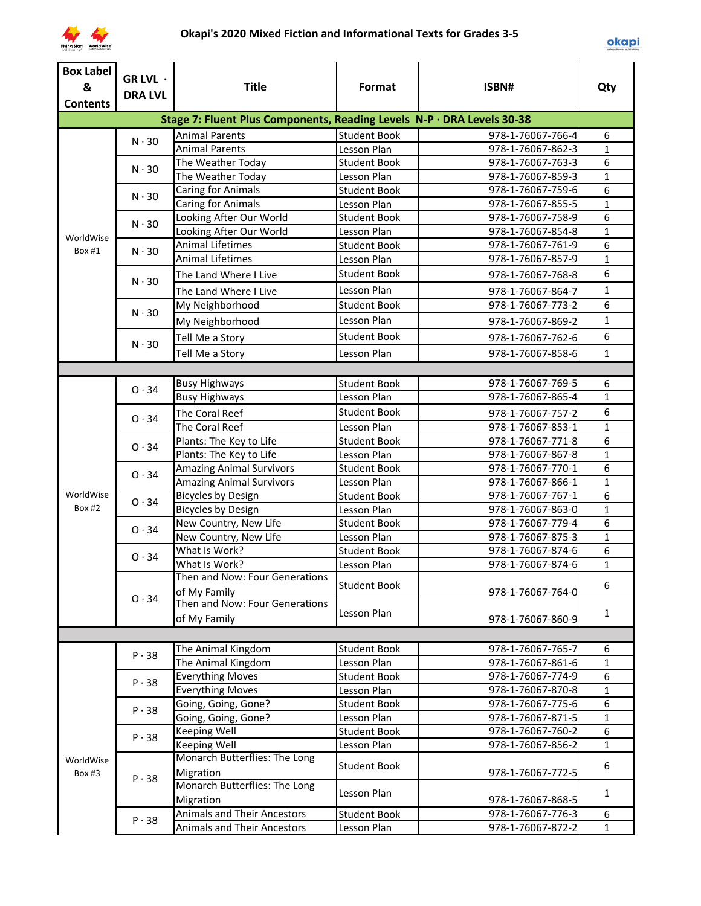

| <b>Box Label</b><br>&<br><b>Contents</b> | GR LVL ·<br><b>DRA LVL</b> | <b>Title</b>                                                           | Format              | ISBN#             | Qty            |
|------------------------------------------|----------------------------|------------------------------------------------------------------------|---------------------|-------------------|----------------|
|                                          |                            | Stage 7: Fluent Plus Components, Reading Levels N-P · DRA Levels 30-38 |                     |                   |                |
|                                          |                            | <b>Animal Parents</b>                                                  | Student Book        | 978-1-76067-766-4 | 6              |
|                                          | $N \cdot 30$               | <b>Animal Parents</b>                                                  | Lesson Plan         | 978-1-76067-862-3 | $\mathbf{1}$   |
|                                          | $N \cdot 30$               | The Weather Today                                                      | <b>Student Book</b> | 978-1-76067-763-3 | 6              |
|                                          |                            | The Weather Today                                                      | Lesson Plan         | 978-1-76067-859-3 | $\mathbf{1}$   |
|                                          | $N \cdot 30$               | <b>Caring for Animals</b>                                              | <b>Student Book</b> | 978-1-76067-759-6 | 6              |
|                                          |                            | <b>Caring for Animals</b>                                              | Lesson Plan         | 978-1-76067-855-5 | $\mathbf{1}$   |
|                                          | $N \cdot 30$               | Looking After Our World                                                | <b>Student Book</b> | 978-1-76067-758-9 | 6              |
| WorldWise                                |                            | Looking After Our World                                                | Lesson Plan         | 978-1-76067-854-8 | $\mathbf{1}$   |
| Box #1                                   | $N \cdot 30$               | <b>Animal Lifetimes</b>                                                | <b>Student Book</b> | 978-1-76067-761-9 | 6              |
|                                          |                            | <b>Animal Lifetimes</b>                                                | Lesson Plan         | 978-1-76067-857-9 | $\mathbf{1}$   |
|                                          | $N \cdot 30$               | The Land Where I Live                                                  | <b>Student Book</b> | 978-1-76067-768-8 | 6              |
|                                          |                            | The Land Where I Live                                                  | Lesson Plan         | 978-1-76067-864-7 | $\mathbf{1}$   |
|                                          | $N \cdot 30$               | My Neighborhood                                                        | <b>Student Book</b> | 978-1-76067-773-2 | 6              |
|                                          |                            | My Neighborhood                                                        | Lesson Plan         | 978-1-76067-869-2 | $\mathbf{1}$   |
|                                          |                            | Tell Me a Story                                                        | <b>Student Book</b> | 978-1-76067-762-6 | 6              |
|                                          | $N \cdot 30$               | Tell Me a Story                                                        | Lesson Plan         | 978-1-76067-858-6 | $\mathbf{1}$   |
|                                          |                            |                                                                        |                     |                   |                |
|                                          |                            | <b>Busy Highways</b>                                                   | <b>Student Book</b> | 978-1-76067-769-5 | 6              |
|                                          | 0.34                       | <b>Busy Highways</b>                                                   | Lesson Plan         | 978-1-76067-865-4 | $\mathbf{1}$   |
|                                          |                            | The Coral Reef                                                         | <b>Student Book</b> | 978-1-76067-757-2 | 6              |
|                                          | 0.34                       | The Coral Reef                                                         | Lesson Plan         | 978-1-76067-853-1 | $\mathbf{1}$   |
|                                          |                            | Plants: The Key to Life                                                | <b>Student Book</b> | 978-1-76067-771-8 | 6              |
|                                          | 0.34                       | Plants: The Key to Life                                                | Lesson Plan         | 978-1-76067-867-8 | $\mathbf{1}$   |
|                                          |                            | <b>Amazing Animal Survivors</b>                                        | <b>Student Book</b> | 978-1-76067-770-1 | $\overline{6}$ |
|                                          | 0.34                       | <b>Amazing Animal Survivors</b>                                        | Lesson Plan         | 978-1-76067-866-1 | $\mathbf{1}$   |
| WorldWise                                |                            | <b>Bicycles by Design</b>                                              | <b>Student Book</b> | 978-1-76067-767-1 | $\overline{6}$ |
| Box #2                                   | 0.34                       | <b>Bicycles by Design</b>                                              | Lesson Plan         | 978-1-76067-863-0 | $\mathbf{1}$   |
|                                          |                            | New Country, New Life                                                  | <b>Student Book</b> | 978-1-76067-779-4 | 6              |
|                                          | 0.34                       | New Country, New Life                                                  | Lesson Plan         | 978-1-76067-875-3 | $\mathbf{1}$   |
|                                          |                            | What Is Work?                                                          | <b>Student Book</b> | 978-1-76067-874-6 | 6              |
|                                          | $O \cdot 34$               | What Is Work?                                                          | Lesson Plan         | 978-1-76067-874-6 | $\mathbf{1}$   |
|                                          |                            | Then and Now: Four Generations                                         |                     |                   |                |
|                                          | 0.34                       | of My Family                                                           | <b>Student Book</b> | 978-1-76067-764-0 | 6              |
|                                          |                            | Then and Now: Four Generations                                         |                     |                   |                |
|                                          |                            | of My Family                                                           | Lesson Plan         | 978-1-76067-860-9 | $\mathbf{1}$   |
|                                          |                            |                                                                        |                     |                   |                |
|                                          | P.38                       | The Animal Kingdom                                                     | <b>Student Book</b> | 978-1-76067-765-7 | 6              |
|                                          |                            | The Animal Kingdom                                                     | Lesson Plan         | 978-1-76067-861-6 | $\mathbf{1}$   |
|                                          | P.38                       | <b>Everything Moves</b>                                                | <b>Student Book</b> | 978-1-76067-774-9 | 6              |
|                                          |                            | <b>Everything Moves</b>                                                | Lesson Plan         | 978-1-76067-870-8 | $\mathbf{1}$   |
|                                          | P.38                       | Going, Going, Gone?                                                    | <b>Student Book</b> | 978-1-76067-775-6 | 6              |
|                                          |                            | Going, Going, Gone?                                                    | Lesson Plan         | 978-1-76067-871-5 | $\mathbf{1}$   |
|                                          | $P \cdot 38$               | Keeping Well                                                           | <b>Student Book</b> | 978-1-76067-760-2 | 6              |
|                                          |                            | Keeping Well                                                           | Lesson Plan         | 978-1-76067-856-2 | $\mathbf{1}$   |
| WorldWise<br>Box #3                      | P.38                       | Monarch Butterflies: The Long<br>Migration                             | <b>Student Book</b> | 978-1-76067-772-5 | 6              |
|                                          |                            | Monarch Butterflies: The Long<br>Migration                             | Lesson Plan         | 978-1-76067-868-5 | $\mathbf{1}$   |
|                                          | $P \cdot 38$               | <b>Animals and Their Ancestors</b>                                     | <b>Student Book</b> | 978-1-76067-776-3 | 6              |
|                                          |                            | Animals and Their Ancestors                                            | Lesson Plan         | 978-1-76067-872-2 | $\mathbf{1}$   |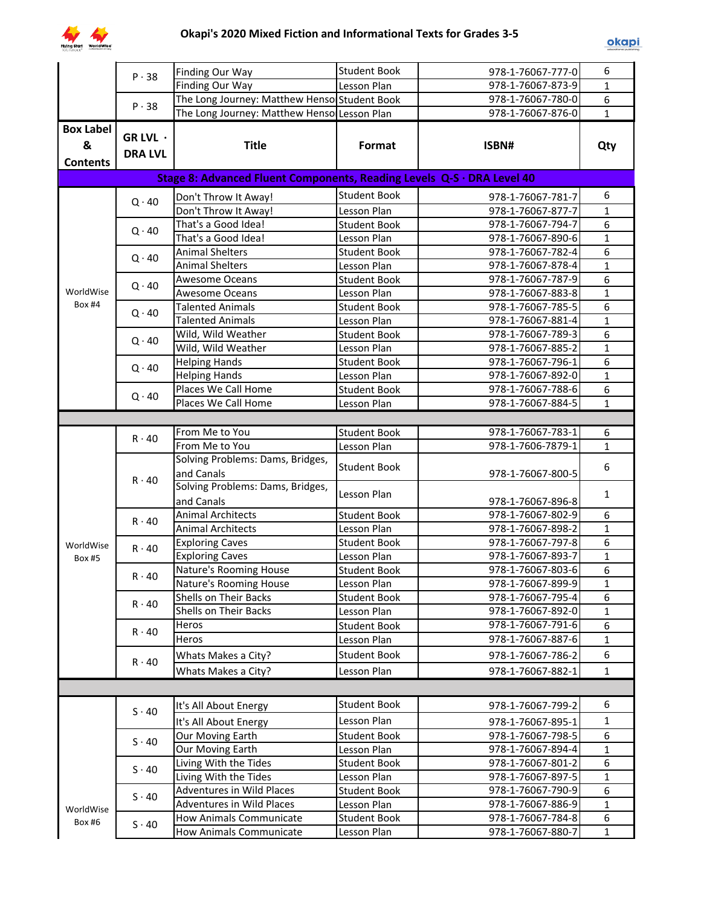

|                  | $P \cdot 38$   | <b>Finding Our Way</b>                                                 | <b>Student Book</b>                | 978-1-76067-777-0                      | 6                 |
|------------------|----------------|------------------------------------------------------------------------|------------------------------------|----------------------------------------|-------------------|
|                  |                | Finding Our Way                                                        | Lesson Plan                        | 978-1-76067-873-9                      | $\mathbf{1}$      |
|                  | $P \cdot 38$   | The Long Journey: Matthew Henso Student Book                           |                                    | 978-1-76067-780-0                      | 6                 |
|                  |                | The Long Journey: Matthew Henso Lesson Plan                            |                                    | 978-1-76067-876-0                      | $\mathbf{1}$      |
| <b>Box Label</b> |                |                                                                        |                                    |                                        |                   |
| &                | GR LVL ·       | <b>Title</b>                                                           | Format                             | ISBN#                                  | Qty               |
| <b>Contents</b>  | <b>DRA LVL</b> |                                                                        |                                    |                                        |                   |
|                  |                | Stage 8: Advanced Fluent Components, Reading Levels Q-S · DRA Level 40 |                                    |                                        |                   |
|                  |                |                                                                        | <b>Student Book</b>                | 978-1-76067-781-7                      | 6                 |
|                  | $Q \cdot 40$   | Don't Throw It Away!<br>Don't Throw It Away!                           | Lesson Plan                        | 978-1-76067-877-7                      | $\mathbf{1}$      |
|                  |                | That's a Good Idea!                                                    | <b>Student Book</b>                | 978-1-76067-794-7                      | 6                 |
|                  | $Q \cdot 40$   | That's a Good Idea!                                                    | Lesson Plan                        | 978-1-76067-890-6                      | $\mathbf{1}$      |
|                  |                | <b>Animal Shelters</b>                                                 | <b>Student Book</b>                | 978-1-76067-782-4                      | 6                 |
|                  | $Q \cdot 40$   | <b>Animal Shelters</b>                                                 | Lesson Plan                        | 978-1-76067-878-4                      | $\mathbf{1}$      |
|                  |                | Awesome Oceans                                                         | <b>Student Book</b>                | 978-1-76067-787-9                      | 6                 |
| WorldWise        | $Q \cdot 40$   | Awesome Oceans                                                         | Lesson Plan                        | 978-1-76067-883-8                      | $\mathbf{1}$      |
| <b>Box #4</b>    |                | <b>Talented Animals</b>                                                | <b>Student Book</b>                | 978-1-76067-785-5                      | 6                 |
|                  | $Q \cdot 40$   | <b>Talented Animals</b>                                                | Lesson Plan                        | 978-1-76067-881-4                      | $\mathbf{1}$      |
|                  | $Q \cdot 40$   | Wild, Wild Weather                                                     | <b>Student Book</b>                | 978-1-76067-789-3                      | 6                 |
|                  |                | Wild, Wild Weather                                                     | Lesson Plan                        | 978-1-76067-885-2                      | $\mathbf{1}$      |
|                  | $Q \cdot 40$   | <b>Helping Hands</b>                                                   | <b>Student Book</b>                | 978-1-76067-796-1                      | 6                 |
|                  |                | <b>Helping Hands</b>                                                   | Lesson Plan                        | 978-1-76067-892-0                      | $\mathbf{1}$      |
|                  | $Q \cdot 40$   | Places We Call Home                                                    | <b>Student Book</b>                | 978-1-76067-788-6                      | 6                 |
|                  |                | Places We Call Home                                                    | Lesson Plan                        | 978-1-76067-884-5                      | $\mathbf{1}$      |
|                  |                |                                                                        |                                    |                                        |                   |
|                  | $R \cdot 40$   | From Me to You                                                         | <b>Student Book</b>                | 978-1-76067-783-1                      | 6                 |
|                  |                | From Me to You                                                         | Lesson Plan                        | 978-1-7606-7879-1                      | $\mathbf{1}$      |
|                  | $R \cdot 40$   | Solving Problems: Dams, Bridges,                                       | <b>Student Book</b>                |                                        | 6                 |
|                  |                | and Canals                                                             |                                    | 978-1-76067-800-5                      |                   |
|                  |                | Solving Problems: Dams, Bridges,                                       | Lesson Plan                        |                                        | $\mathbf{1}$      |
|                  |                | and Canals                                                             |                                    | 978-1-76067-896-8                      |                   |
|                  | $R \cdot 40$   | <b>Animal Architects</b>                                               | <b>Student Book</b>                | 978-1-76067-802-9                      | 6                 |
|                  |                | Animal Architects                                                      | Lesson Plan                        | 978-1-76067-898-2                      | $\mathbf{1}$      |
| WorldWise        | $R \cdot 40$   | <b>Exploring Caves</b>                                                 | <b>Student Book</b>                | 978-1-76067-797-8<br>978-1-76067-893-7 | 6<br>$\mathbf{1}$ |
| <b>Box #5</b>    |                | <b>Exploring Caves</b><br>Nature's Rooming House                       | Lesson Plan                        | 978-1-76067-803-6                      | 6                 |
|                  | $R \cdot 40$   | <b>Nature's Rooming House</b>                                          | <b>Student Book</b><br>Lesson Plan | 978-1-76067-899-9                      | 1                 |
|                  |                | Shells on Their Backs                                                  | <b>Student Book</b>                | 978-1-76067-795-4                      | 6                 |
|                  | $R \cdot 40$   | <b>Shells on Their Backs</b>                                           | Lesson Plan                        | 978-1-76067-892-0                      | $\mathbf{1}$      |
|                  |                | Heros                                                                  | <b>Student Book</b>                | 978-1-76067-791-6                      | 6                 |
|                  | $R \cdot 40$   | Heros                                                                  | Lesson Plan                        | 978-1-76067-887-6                      | $\mathbf{1}$      |
|                  |                | Whats Makes a City?                                                    | <b>Student Book</b>                | 978-1-76067-786-2                      | 6                 |
|                  | $R \cdot 40$   | Whats Makes a City?                                                    | Lesson Plan                        | 978-1-76067-882-1                      | $\mathbf{1}$      |
|                  |                |                                                                        |                                    |                                        |                   |
|                  |                |                                                                        |                                    |                                        |                   |
|                  | $S \cdot 40$   | It's All About Energy                                                  | <b>Student Book</b>                | 978-1-76067-799-2                      | 6                 |
|                  |                | It's All About Energy                                                  | Lesson Plan                        | 978-1-76067-895-1                      | $\mathbf{1}$      |
|                  | $S \cdot 40$   | Our Moving Earth                                                       | <b>Student Book</b>                | 978-1-76067-798-5                      | 6                 |
|                  |                | Our Moving Earth                                                       | Lesson Plan                        | 978-1-76067-894-4                      | $\mathbf 1$       |
|                  | $S \cdot 40$   | Living With the Tides                                                  | <b>Student Book</b>                | 978-1-76067-801-2                      | 6                 |
|                  |                | Living With the Tides                                                  | Lesson Plan                        | 978-1-76067-897-5                      | $\mathbf{1}$      |
|                  | $S \cdot 40$   | Adventures in Wild Places                                              | <b>Student Book</b>                | 978-1-76067-790-9                      | 6                 |
| WorldWise        |                | Adventures in Wild Places                                              | Lesson Plan                        | 978-1-76067-886-9                      | $\mathbf{1}$      |
| Box #6           | $S \cdot 40$   | <b>How Animals Communicate</b>                                         | <b>Student Book</b>                | 978-1-76067-784-8                      | 6                 |
|                  |                | <b>How Animals Communicate</b>                                         | Lesson Plan                        | 978-1-76067-880-7                      | $\mathbf{1}$      |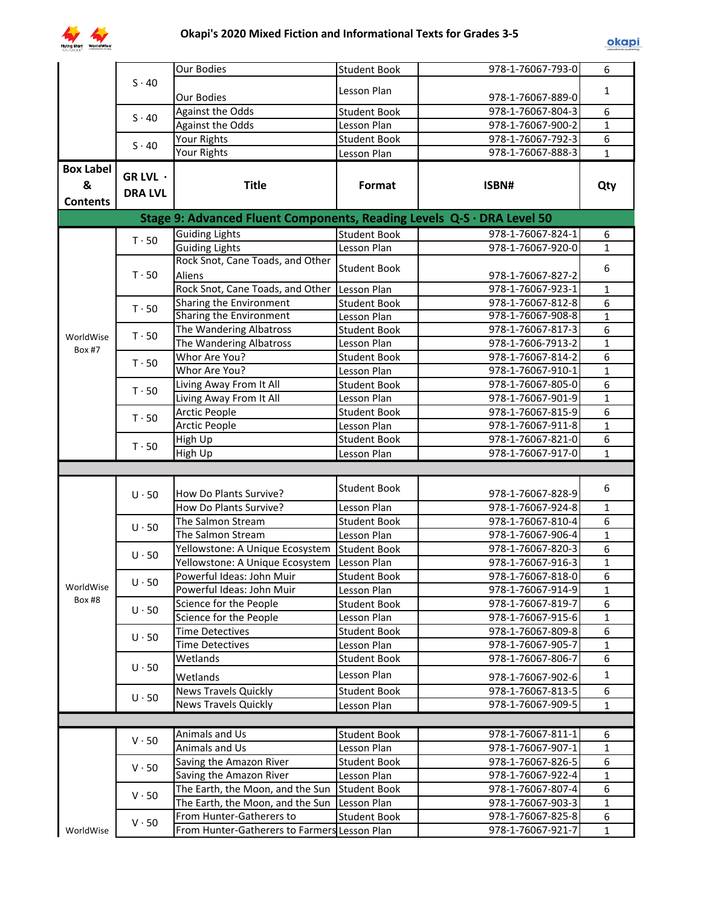

|                     |                                                              | Our Bodies                                                             | <b>Student Book</b> | 978-1-76067-793-0 | 6                |
|---------------------|--------------------------------------------------------------|------------------------------------------------------------------------|---------------------|-------------------|------------------|
|                     | $S \cdot 40$                                                 |                                                                        |                     |                   |                  |
|                     |                                                              | Our Bodies                                                             | Lesson Plan         | 978-1-76067-889-0 | $\mathbf{1}$     |
|                     | $S \cdot 40$                                                 | <b>Against the Odds</b>                                                | <b>Student Book</b> | 978-1-76067-804-3 | 6                |
|                     |                                                              | <b>Against the Odds</b>                                                | Lesson Plan         | 978-1-76067-900-2 | $\mathbf{1}$     |
|                     | $S \cdot 40$                                                 | Your Rights                                                            | <b>Student Book</b> | 978-1-76067-792-3 | $\overline{6}$   |
|                     |                                                              | Your Rights                                                            | Lesson Plan         | 978-1-76067-888-3 | $\mathbf{1}$     |
| <b>Box Label</b>    | GR LVL ·                                                     |                                                                        |                     |                   |                  |
| &                   | <b>DRA LVL</b>                                               | <b>Title</b>                                                           | Format              | ISBN#             | Qty              |
| <b>Contents</b>     |                                                              |                                                                        |                     |                   |                  |
|                     |                                                              | Stage 9: Advanced Fluent Components, Reading Levels Q-S · DRA Level 50 |                     |                   |                  |
|                     |                                                              | <b>Guiding Lights</b>                                                  | <b>Student Book</b> | 978-1-76067-824-1 | 6                |
|                     | $T \cdot 50$                                                 | <b>Guiding Lights</b>                                                  | Lesson Plan         | 978-1-76067-920-0 | $\mathbf{1}$     |
|                     |                                                              | Rock Snot, Cane Toads, and Other                                       |                     |                   |                  |
|                     | $T \cdot 50$                                                 | Aliens                                                                 | <b>Student Book</b> | 978-1-76067-827-2 | 6                |
| WorldWise<br>Box #7 |                                                              | Rock Snot, Cane Toads, and Other                                       | Lesson Plan         | 978-1-76067-923-1 | $\mathbf{1}$     |
|                     | $T \cdot 50$                                                 | Sharing the Environment                                                | <b>Student Book</b> | 978-1-76067-812-8 | 6                |
|                     |                                                              | <b>Sharing the Environment</b>                                         | Lesson Plan         | 978-1-76067-908-8 | $\overline{1}$   |
|                     | $T \cdot 50$                                                 | The Wandering Albatross                                                | <b>Student Book</b> | 978-1-76067-817-3 | 6                |
|                     |                                                              | The Wandering Albatross                                                | Lesson Plan         | 978-1-7606-7913-2 | $\mathbf{1}$     |
|                     | $T \cdot 50$                                                 | Whor Are You?                                                          | <b>Student Book</b> | 978-1-76067-814-2 | 6                |
|                     |                                                              | Whor Are You?                                                          | Lesson Plan         | 978-1-76067-910-1 | $\mathbf{1}$     |
|                     | $T \cdot 50$                                                 | Living Away From It All                                                | <b>Student Book</b> | 978-1-76067-805-0 | 6                |
|                     |                                                              | Living Away From It All                                                | Lesson Plan         | 978-1-76067-901-9 | $\mathbf{1}$     |
|                     | $T \cdot 50$                                                 | Arctic People                                                          | <b>Student Book</b> | 978-1-76067-815-9 | 6                |
|                     |                                                              | <b>Arctic People</b>                                                   | Lesson Plan         | 978-1-76067-911-8 | $\mathbf{1}$     |
|                     | $T \cdot 50$                                                 | High Up                                                                | <b>Student Book</b> | 978-1-76067-821-0 | 6                |
|                     |                                                              | High Up                                                                | Lesson Plan         | 978-1-76067-917-0 | $\mathbf{1}$     |
|                     |                                                              |                                                                        |                     |                   |                  |
|                     | $U \cdot 50$<br>$U \cdot 50$<br>$U \cdot 50$<br>$U \cdot 50$ | How Do Plants Survive?                                                 | <b>Student Book</b> | 978-1-76067-828-9 | 6                |
|                     |                                                              | How Do Plants Survive?                                                 | Lesson Plan         | 978-1-76067-924-8 | $\mathbf{1}$     |
|                     |                                                              | The Salmon Stream                                                      | <b>Student Book</b> | 978-1-76067-810-4 | 6                |
|                     |                                                              | The Salmon Stream                                                      | Lesson Plan         | 978-1-76067-906-4 | $\mathbf{1}$     |
|                     |                                                              | Yellowstone: A Unique Ecosystem                                        | <b>Student Book</b> | 978-1-76067-820-3 | 6                |
|                     |                                                              | Yellowstone: A Unique Ecosystem                                        | Lesson Plan         | 978-1-76067-916-3 | $\mathbf{1}$     |
|                     |                                                              | Powerful Ideas: John Muir                                              | <b>Student Book</b> | 978-1-76067-818-0 | $\overline{6}$   |
| WorldWise           |                                                              | Powerful Ideas: John Muir                                              | Lesson Plan         | 978-1-76067-914-9 | $\mathbf{1}$     |
| <b>Box #8</b>       |                                                              | Science for the People                                                 | <b>Student Book</b> | 978-1-76067-819-7 | 6                |
|                     | $U \cdot 50$                                                 | Science for the People                                                 | Lesson Plan         | 978-1-76067-915-6 | $\mathbf{1}$     |
|                     | $U \cdot 50$                                                 | <b>Time Detectives</b>                                                 | <b>Student Book</b> | 978-1-76067-809-8 | 6                |
|                     |                                                              | <b>Time Detectives</b>                                                 | Lesson Plan         | 978-1-76067-905-7 | $\mathbf{1}$     |
|                     |                                                              | Wetlands                                                               | <b>Student Book</b> | 978-1-76067-806-7 | 6                |
|                     | $U \cdot 50$                                                 | Wetlands                                                               | Lesson Plan         | 978-1-76067-902-6 | $\mathbf{1}$     |
|                     |                                                              | <b>News Travels Quickly</b>                                            | <b>Student Book</b> | 978-1-76067-813-5 | 6                |
|                     | $U \cdot 50$                                                 | <b>News Travels Quickly</b>                                            | Lesson Plan         | 978-1-76067-909-5 | $\mathbf{1}$     |
|                     |                                                              |                                                                        |                     |                   |                  |
|                     |                                                              | Animals and Us                                                         | <b>Student Book</b> | 978-1-76067-811-1 | 6                |
|                     | $V \cdot 50$                                                 | Animals and Us                                                         | Lesson Plan         | 978-1-76067-907-1 | $\mathbf{1}$     |
|                     |                                                              | Saving the Amazon River                                                | <b>Student Book</b> | 978-1-76067-826-5 | 6                |
|                     | $V \cdot 50$                                                 | Saving the Amazon River                                                | Lesson Plan         | 978-1-76067-922-4 | $\mathbf{1}$     |
|                     |                                                              | The Earth, the Moon, and the Sun Student Book                          |                     | 978-1-76067-807-4 | 6                |
|                     | $V \cdot 50$                                                 | The Earth, the Moon, and the Sun                                       | Lesson Plan         | 978-1-76067-903-3 | $\mathbf{1}$     |
|                     |                                                              | From Hunter-Gatherers to                                               | <b>Student Book</b> | 978-1-76067-825-8 | $\boldsymbol{6}$ |
| WorldWise           | $V \cdot 50$                                                 | From Hunter-Gatherers to Farmers Lesson Plan                           |                     | 978-1-76067-921-7 | $\mathbf{1}$     |